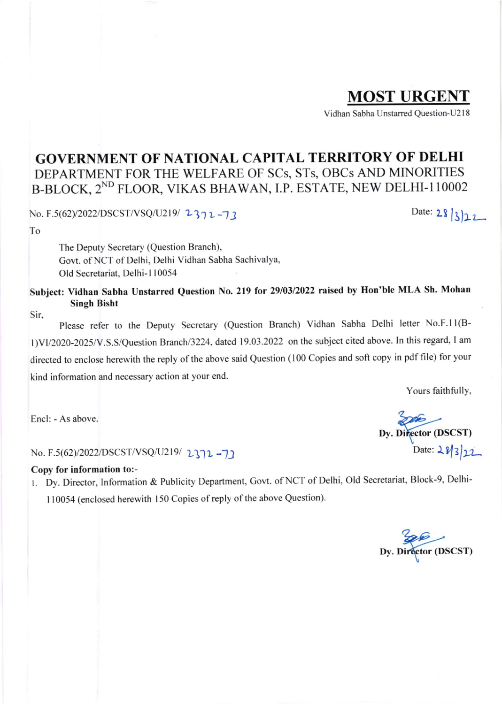## MOST URGENT

Vidhan Sabha Unstarred Question-U2 I 8

## GOVERNMENT OF NATIONAL CAPITAL TERRITORY OF DELHI DEPARTMENT FOR THE WELFARE OF SCs, STs, OBCs AND MINORITIES B-BLOCK, 2<sup>ND</sup> FLOOR, VIKAS BHAWAN, I.P. ESTATE, NEW DELHI-110002

No. F.5(62)/2022/DSCST/VSQ/U219/ 2372-73 Date: 28 3 22

To

The Deputy Secretary (Question Branch), Govt. of NCT of Delhi, Delhi Vidhan Sabha Sachivalya, old Secretariat. Delhi-l 10054

Subject: Vidhan Sabha Unstarred Question No. 219 for 29/03/2022 raised by Hon'ble MLA Sh. Mohan Singh Bisht

Sir,

Please refer to the Deputy Secretary (Question Branch) Vidhan Sabha Delhi letter No.F.ll(Bl)Vll2)20-2025/V.S.S/Question Branchl3224, dated 19.03.2022 on the subject cited above. In this regard, I am directed to enclose herewith the reply of the above said Question (100 Copies and soft copy in pdf file) for your kind information and necessary action at your end.

Yours faithfully,

 $\epsilon$ Encl: - As above.

No. F.5(62)/2022/DSCST/VSQ/U219/ 2372 -71 Date: 28/3/22

## Copy for information to:-

r. Dy. Director, Information & Publicity Department, Covt. of NCT of Delhi, OId Secretariat, Block-9, Delhi-110054 (enclosed herewith 150 Copies of reply of the above Question).

Dy. Director (DSCST)

Dy. Director (DSCST)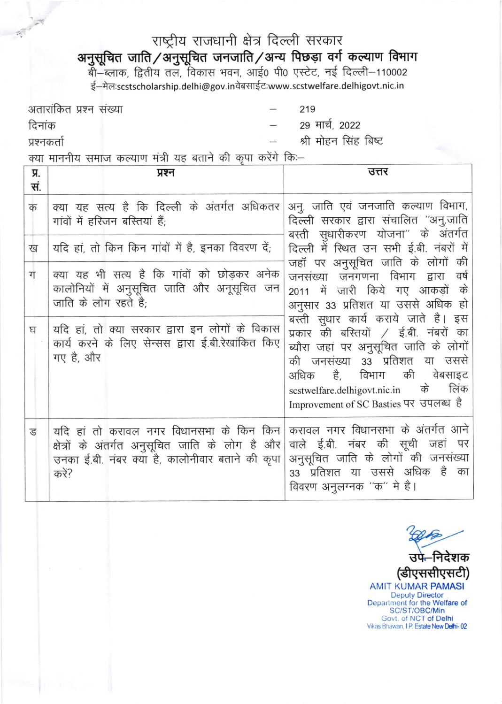## राष्ट्रीय राजधानी क्षेत्र दिल्ली सरकार

**अनुसूचित जाति/अनुसूचित जनजाति/अन्य पिछड़ा वर्ग कल्याण विभाग**<br>बी–ब्लाक, द्वितीय तल, विकास भवन, आई0 पी0 एस्टेट, नई दिल्ली–110002

ई-मेल:scstscholarship.delhi@gov.inवेबसाईट:www.scstwelfare.delhigovt.nic.in

अतारांकित प्रश्न संख्या 219 29 मार्च, 2022 दिनांक श्री मोहन सिंह बिष्ट प्रश्नकर्ता

क्या माननीय समाज कल्याण मंत्री यह बताने की कपा करेंगे कि:-

| Я.<br>सं. | प्रश्न                                                                                                                                                                                                                                 | उत्तर                                                                                                                                                                                                                                                                                                                                      |
|-----------|----------------------------------------------------------------------------------------------------------------------------------------------------------------------------------------------------------------------------------------|--------------------------------------------------------------------------------------------------------------------------------------------------------------------------------------------------------------------------------------------------------------------------------------------------------------------------------------------|
| क         | क्या यह सत्य है कि दिल्ली के अंतर्गत अधिकतर<br>गांवों में हरिजन बरितयां हैं;                                                                                                                                                           | अन्. जाति एवं जनजाति कल्याण विभाग,<br>दिल्ली सरकार द्वारा संचालित "अनु.जाति<br>बस्ती सुधारीकरण योजना" के अंतर्गत                                                                                                                                                                                                                           |
| ख         | यदि हां, तो किन किन गांवों में है, इनका विवरण दें;                                                                                                                                                                                     | दिल्ली में स्थित उन सभी ई.बी. नंबरों में                                                                                                                                                                                                                                                                                                   |
| ग<br>घ    | क्या यह भी सत्य है कि गांवों को छोड़कर अनेक<br>कालोनियों में अनुसूचित जाति और अनूसूचित जन<br>जाति के लोग रहते है;<br>यदि हां, तो क्या सरकार द्वारा इन लोगों के विकास<br>कार्य करने के लिए सेन्सस द्वारा ई.बी.रेखांकित किए<br>गए है, और | जहॉं पर अनुसूचित जाति के लोगों की<br>जनसंख्या जनगणना विभाग द्वारा<br>वर्ष<br>2011 में जारी किये गए आकड़ों के<br>अनुसार 33 प्रतिशत या उससे अधिक हो  <br>बस्ती सुधार कार्य कराये जाते है। इस<br>प्रकार की बस्तियों / ई.बी. नंबरों का<br>ब्यौरा जहां पर अनुसूचित जाति के लोगों<br>की जनसंख्या 33 प्रतिशत या उससे<br>अधिक है, विभाग की वेबसाइट |
|           |                                                                                                                                                                                                                                        | लिंक<br>के<br>scstwelfare.delhigovt.nic.in<br>Improvement of SC Basties पर उपलब्ध है                                                                                                                                                                                                                                                       |
| ड         | यदि हां तो करावल नगर विधानसभा के किन किन<br>क्षेत्रों के अंतर्गत अनुसूचित जाति के लोग है और<br>उनका ई.बी. नंबर क्या है, कालोनीवार बताने की कृपा<br>करें?                                                                               | करावल नगर विधानसभा के अंतर्गत आने<br>वाले ई.बी. नंबर की सूची जहां पर<br>अनुसूचित जाति के लोगों की जनसंख्या<br>33 प्रतिशत या उससे अधिक है का<br>विवरण अनुलग्नक "क" मे है।                                                                                                                                                                   |

निदेशक (डीएससीएसटी) **AMIT KUMAR PAMASI Deputy Director** Department for the Welfare of SC/ST/OBC/Min Govt. of NCT of Delhi Vikas Bhawan, I.P. Estate New Delhi-02